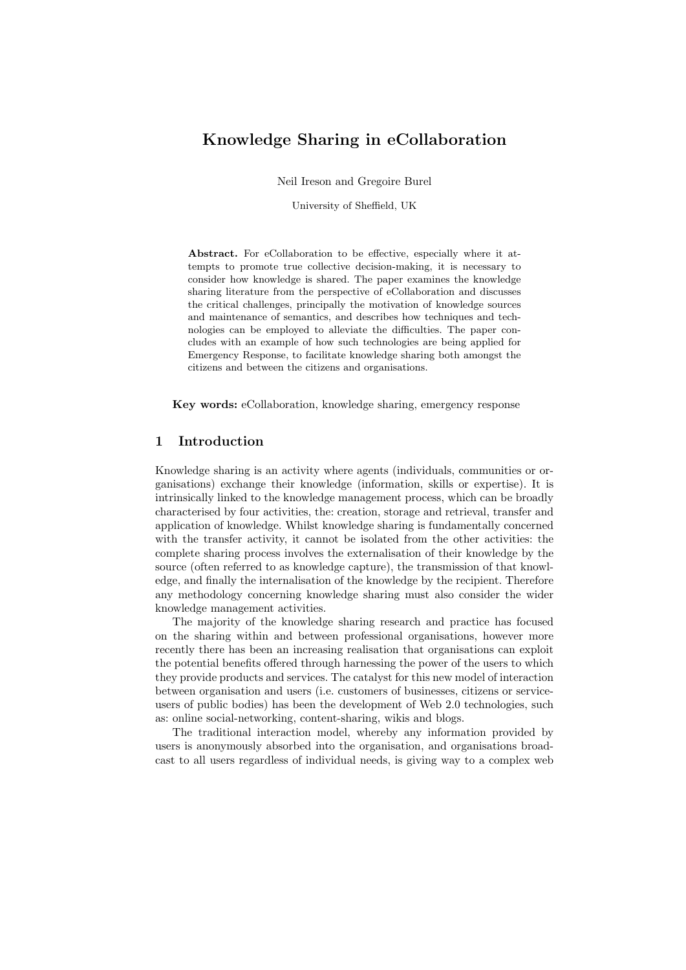# Knowledge Sharing in eCollaboration

Neil Ireson and Gregoire Burel

University of Sheffield, UK

Abstract. For eCollaboration to be effective, especially where it attempts to promote true collective decision-making, it is necessary to consider how knowledge is shared. The paper examines the knowledge sharing literature from the perspective of eCollaboration and discusses the critical challenges, principally the motivation of knowledge sources and maintenance of semantics, and describes how techniques and technologies can be employed to alleviate the difficulties. The paper concludes with an example of how such technologies are being applied for Emergency Response, to facilitate knowledge sharing both amongst the citizens and between the citizens and organisations.

Key words: eCollaboration, knowledge sharing, emergency response

# 1 Introduction

Knowledge sharing is an activity where agents (individuals, communities or organisations) exchange their knowledge (information, skills or expertise). It is intrinsically linked to the knowledge management process, which can be broadly characterised by four activities, the: creation, storage and retrieval, transfer and application of knowledge. Whilst knowledge sharing is fundamentally concerned with the transfer activity, it cannot be isolated from the other activities: the complete sharing process involves the externalisation of their knowledge by the source (often referred to as knowledge capture), the transmission of that knowledge, and finally the internalisation of the knowledge by the recipient. Therefore any methodology concerning knowledge sharing must also consider the wider knowledge management activities.

The majority of the knowledge sharing research and practice has focused on the sharing within and between professional organisations, however more recently there has been an increasing realisation that organisations can exploit the potential benefits offered through harnessing the power of the users to which they provide products and services. The catalyst for this new model of interaction between organisation and users (i.e. customers of businesses, citizens or serviceusers of public bodies) has been the development of Web 2.0 technologies, such as: online social-networking, content-sharing, wikis and blogs.

The traditional interaction model, whereby any information provided by users is anonymously absorbed into the organisation, and organisations broadcast to all users regardless of individual needs, is giving way to a complex web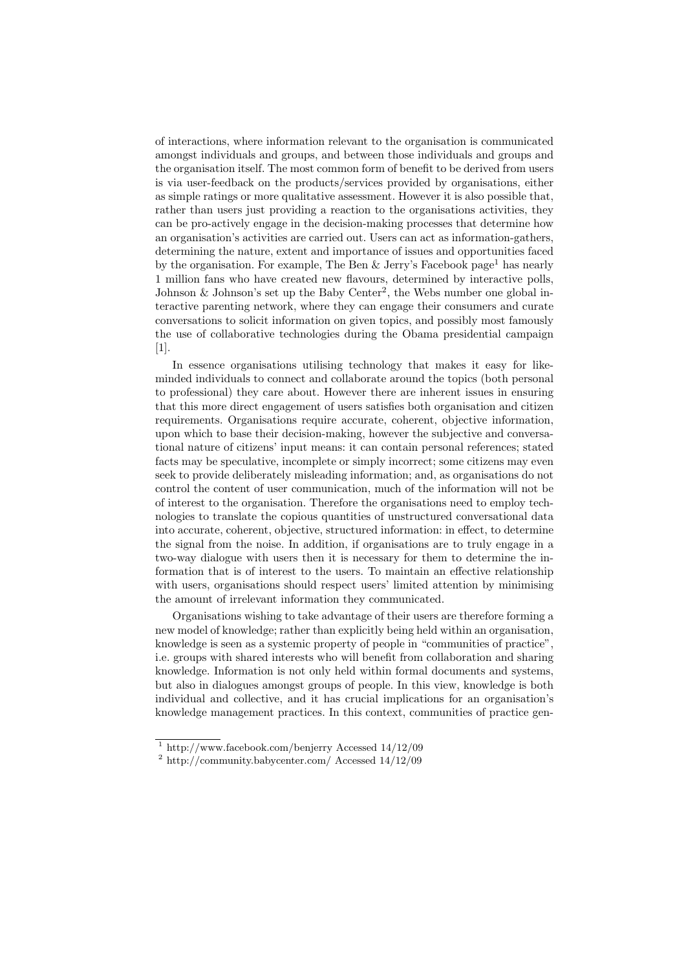of interactions, where information relevant to the organisation is communicated amongst individuals and groups, and between those individuals and groups and the organisation itself. The most common form of benefit to be derived from users is via user-feedback on the products/services provided by organisations, either as simple ratings or more qualitative assessment. However it is also possible that, rather than users just providing a reaction to the organisations activities, they can be pro-actively engage in the decision-making processes that determine how an organisation's activities are carried out. Users can act as information-gathers, determining the nature, extent and importance of issues and opportunities faced by the organisation. For example, The Ben  $\&$  Jerry's Facebook page<sup>1</sup> has nearly 1 million fans who have created new flavours, determined by interactive polls, Johnson & Johnson's set up the Baby Center<sup>2</sup>, the Webs number one global interactive parenting network, where they can engage their consumers and curate conversations to solicit information on given topics, and possibly most famously the use of collaborative technologies during the Obama presidential campaign [1].

In essence organisations utilising technology that makes it easy for likeminded individuals to connect and collaborate around the topics (both personal to professional) they care about. However there are inherent issues in ensuring that this more direct engagement of users satisfies both organisation and citizen requirements. Organisations require accurate, coherent, objective information, upon which to base their decision-making, however the subjective and conversational nature of citizens' input means: it can contain personal references; stated facts may be speculative, incomplete or simply incorrect; some citizens may even seek to provide deliberately misleading information; and, as organisations do not control the content of user communication, much of the information will not be of interest to the organisation. Therefore the organisations need to employ technologies to translate the copious quantities of unstructured conversational data into accurate, coherent, objective, structured information: in effect, to determine the signal from the noise. In addition, if organisations are to truly engage in a two-way dialogue with users then it is necessary for them to determine the information that is of interest to the users. To maintain an effective relationship with users, organisations should respect users' limited attention by minimising the amount of irrelevant information they communicated.

Organisations wishing to take advantage of their users are therefore forming a new model of knowledge; rather than explicitly being held within an organisation, knowledge is seen as a systemic property of people in "communities of practice", i.e. groups with shared interests who will benefit from collaboration and sharing knowledge. Information is not only held within formal documents and systems, but also in dialogues amongst groups of people. In this view, knowledge is both individual and collective, and it has crucial implications for an organisation's knowledge management practices. In this context, communities of practice gen-

<sup>&</sup>lt;sup>1</sup> http://www.facebook.com/benjerry Accessed  $14/12/09$ 

 $^{2}$  http://community.babycenter.com/ Accessed 14/12/09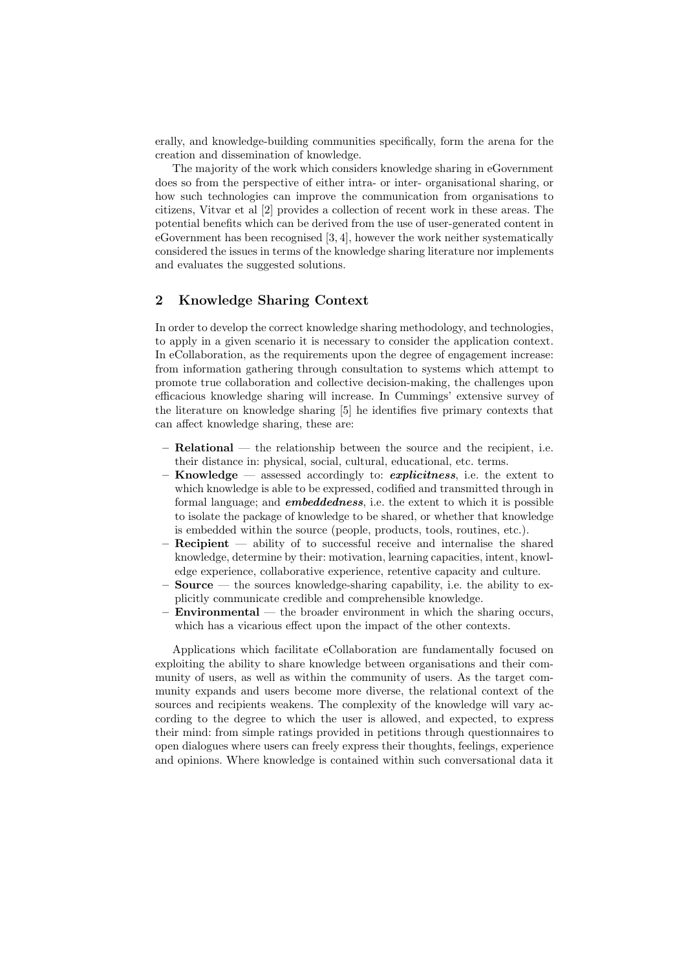erally, and knowledge-building communities specifically, form the arena for the creation and dissemination of knowledge.

The majority of the work which considers knowledge sharing in eGovernment does so from the perspective of either intra- or inter- organisational sharing, or how such technologies can improve the communication from organisations to citizens, Vitvar et al [2] provides a collection of recent work in these areas. The potential benefits which can be derived from the use of user-generated content in eGovernment has been recognised [3, 4], however the work neither systematically considered the issues in terms of the knowledge sharing literature nor implements and evaluates the suggested solutions.

### 2 Knowledge Sharing Context

In order to develop the correct knowledge sharing methodology, and technologies, to apply in a given scenario it is necessary to consider the application context. In eCollaboration, as the requirements upon the degree of engagement increase: from information gathering through consultation to systems which attempt to promote true collaboration and collective decision-making, the challenges upon efficacious knowledge sharing will increase. In Cummings' extensive survey of the literature on knowledge sharing [5] he identifies five primary contexts that can affect knowledge sharing, these are:

- Relational the relationship between the source and the recipient, i.e. their distance in: physical, social, cultural, educational, etc. terms.
- **Knowledge** assessed accordingly to: **explicitness**, i.e. the extent to which knowledge is able to be expressed, codified and transmitted through in formal language; and *embeddedness*, i.e. the extent to which it is possible to isolate the package of knowledge to be shared, or whether that knowledge is embedded within the source (people, products, tools, routines, etc.).
- Recipient ability of to successful receive and internalise the shared knowledge, determine by their: motivation, learning capacities, intent, knowledge experience, collaborative experience, retentive capacity and culture.
- **Source** the sources knowledge-sharing capability, i.e. the ability to explicitly communicate credible and comprehensible knowledge.
- $-$  **Environmental** the broader environment in which the sharing occurs, which has a vicarious effect upon the impact of the other contexts.

Applications which facilitate eCollaboration are fundamentally focused on exploiting the ability to share knowledge between organisations and their community of users, as well as within the community of users. As the target community expands and users become more diverse, the relational context of the sources and recipients weakens. The complexity of the knowledge will vary according to the degree to which the user is allowed, and expected, to express their mind: from simple ratings provided in petitions through questionnaires to open dialogues where users can freely express their thoughts, feelings, experience and opinions. Where knowledge is contained within such conversational data it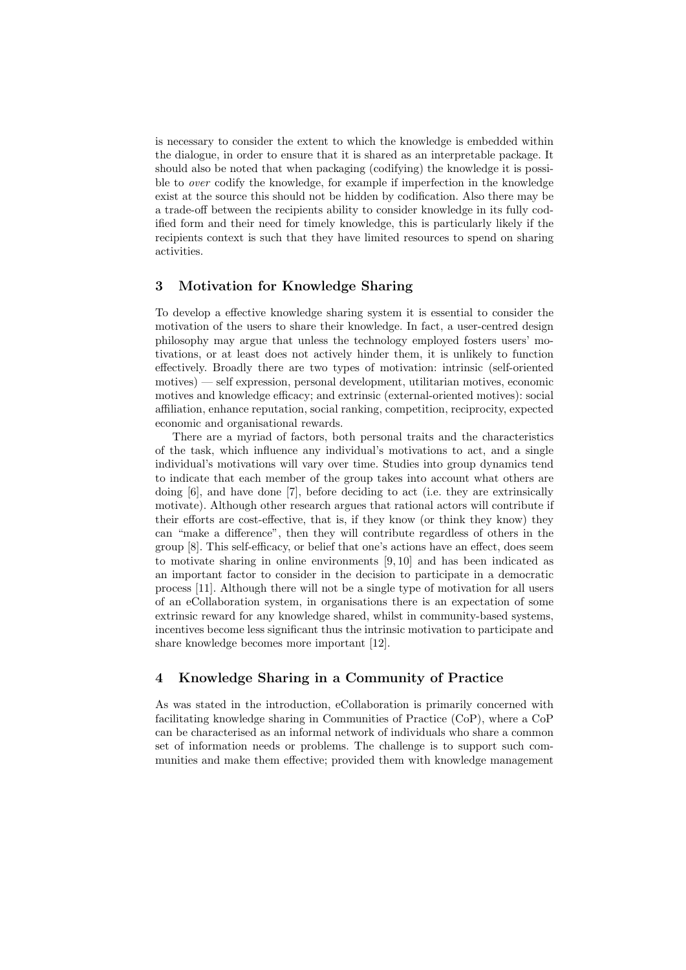is necessary to consider the extent to which the knowledge is embedded within the dialogue, in order to ensure that it is shared as an interpretable package. It should also be noted that when packaging (codifying) the knowledge it is possible to over codify the knowledge, for example if imperfection in the knowledge exist at the source this should not be hidden by codification. Also there may be a trade-off between the recipients ability to consider knowledge in its fully codified form and their need for timely knowledge, this is particularly likely if the recipients context is such that they have limited resources to spend on sharing activities.

### 3 Motivation for Knowledge Sharing

To develop a effective knowledge sharing system it is essential to consider the motivation of the users to share their knowledge. In fact, a user-centred design philosophy may argue that unless the technology employed fosters users' motivations, or at least does not actively hinder them, it is unlikely to function effectively. Broadly there are two types of motivation: intrinsic (self-oriented motives) — self expression, personal development, utilitarian motives, economic motives and knowledge efficacy; and extrinsic (external-oriented motives): social affiliation, enhance reputation, social ranking, competition, reciprocity, expected economic and organisational rewards.

There are a myriad of factors, both personal traits and the characteristics of the task, which influence any individual's motivations to act, and a single individual's motivations will vary over time. Studies into group dynamics tend to indicate that each member of the group takes into account what others are doing [6], and have done [7], before deciding to act (i.e. they are extrinsically motivate). Although other research argues that rational actors will contribute if their efforts are cost-effective, that is, if they know (or think they know) they can "make a difference", then they will contribute regardless of others in the group [8]. This self-efficacy, or belief that one's actions have an effect, does seem to motivate sharing in online environments [9, 10] and has been indicated as an important factor to consider in the decision to participate in a democratic process [11]. Although there will not be a single type of motivation for all users of an eCollaboration system, in organisations there is an expectation of some extrinsic reward for any knowledge shared, whilst in community-based systems, incentives become less significant thus the intrinsic motivation to participate and share knowledge becomes more important [12].

### 4 Knowledge Sharing in a Community of Practice

As was stated in the introduction, eCollaboration is primarily concerned with facilitating knowledge sharing in Communities of Practice (CoP), where a CoP can be characterised as an informal network of individuals who share a common set of information needs or problems. The challenge is to support such communities and make them effective; provided them with knowledge management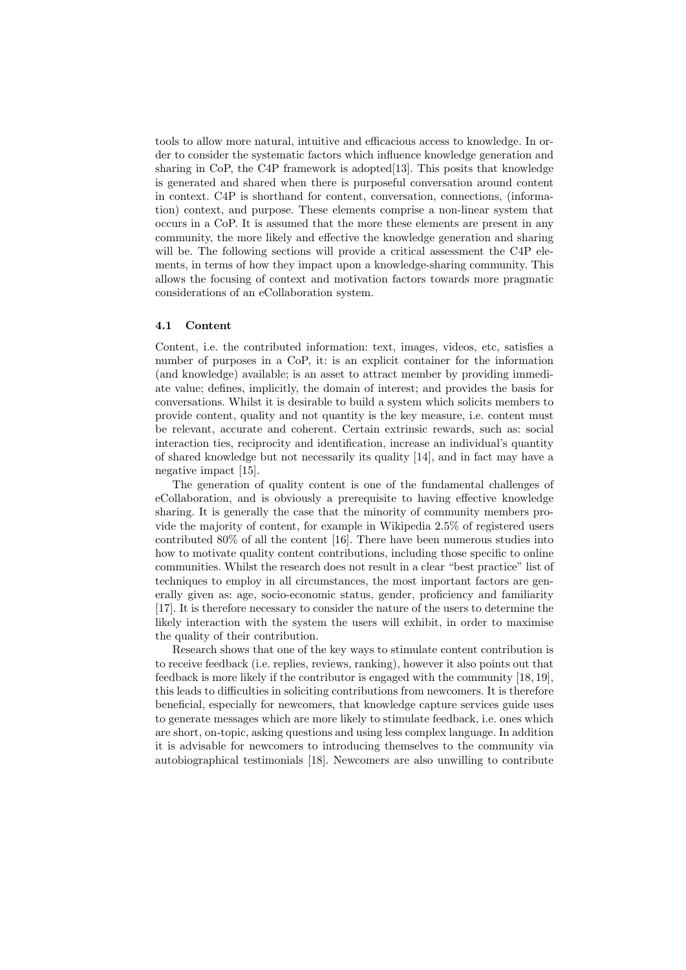tools to allow more natural, intuitive and efficacious access to knowledge. In order to consider the systematic factors which influence knowledge generation and sharing in CoP, the C4P framework is adopted[13]. This posits that knowledge is generated and shared when there is purposeful conversation around content in context. C4P is shorthand for content, conversation, connections, (information) context, and purpose. These elements comprise a non-linear system that occurs in a CoP. It is assumed that the more these elements are present in any community, the more likely and effective the knowledge generation and sharing will be. The following sections will provide a critical assessment the C4P elements, in terms of how they impact upon a knowledge-sharing community. This allows the focusing of context and motivation factors towards more pragmatic considerations of an eCollaboration system.

#### 4.1 Content

Content, i.e. the contributed information: text, images, videos, etc, satisfies a number of purposes in a CoP, it: is an explicit container for the information (and knowledge) available; is an asset to attract member by providing immediate value; defines, implicitly, the domain of interest; and provides the basis for conversations. Whilst it is desirable to build a system which solicits members to provide content, quality and not quantity is the key measure, i.e. content must be relevant, accurate and coherent. Certain extrinsic rewards, such as: social interaction ties, reciprocity and identification, increase an individual's quantity of shared knowledge but not necessarily its quality [14], and in fact may have a negative impact [15].

The generation of quality content is one of the fundamental challenges of eCollaboration, and is obviously a prerequisite to having effective knowledge sharing. It is generally the case that the minority of community members provide the majority of content, for example in Wikipedia 2.5% of registered users contributed 80% of all the content [16]. There have been numerous studies into how to motivate quality content contributions, including those specific to online communities. Whilst the research does not result in a clear "best practice" list of techniques to employ in all circumstances, the most important factors are generally given as: age, socio-economic status, gender, proficiency and familiarity [17]. It is therefore necessary to consider the nature of the users to determine the likely interaction with the system the users will exhibit, in order to maximise the quality of their contribution.

Research shows that one of the key ways to stimulate content contribution is to receive feedback (i.e. replies, reviews, ranking), however it also points out that feedback is more likely if the contributor is engaged with the community [18, 19], this leads to difficulties in soliciting contributions from newcomers. It is therefore beneficial, especially for newcomers, that knowledge capture services guide uses to generate messages which are more likely to stimulate feedback, i.e. ones which are short, on-topic, asking questions and using less complex language. In addition it is advisable for newcomers to introducing themselves to the community via autobiographical testimonials [18]. Newcomers are also unwilling to contribute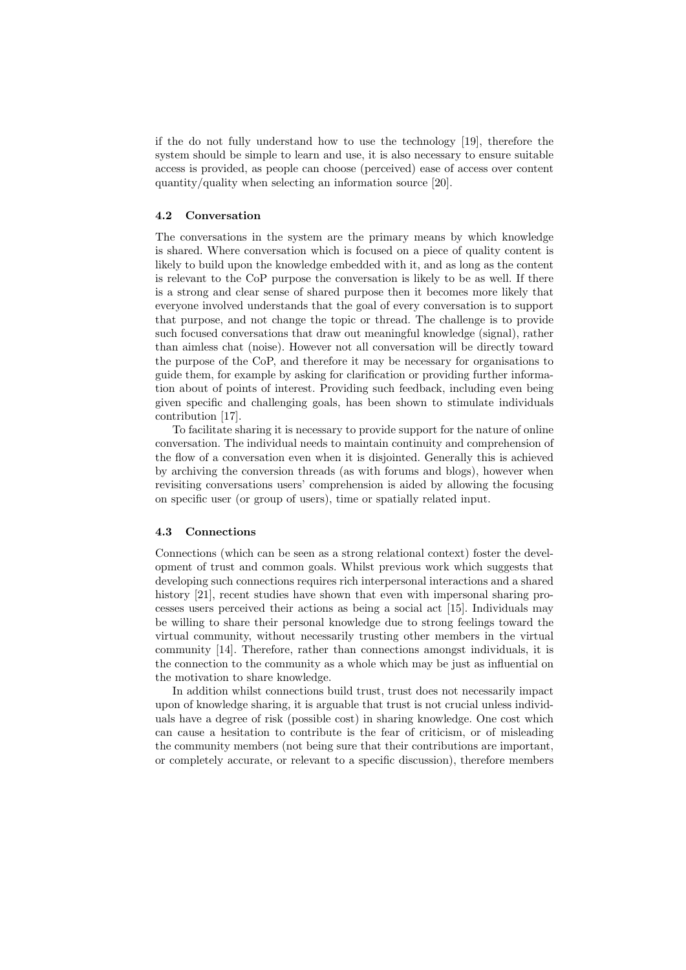if the do not fully understand how to use the technology [19], therefore the system should be simple to learn and use, it is also necessary to ensure suitable access is provided, as people can choose (perceived) ease of access over content quantity/quality when selecting an information source [20].

#### 4.2 Conversation

The conversations in the system are the primary means by which knowledge is shared. Where conversation which is focused on a piece of quality content is likely to build upon the knowledge embedded with it, and as long as the content is relevant to the CoP purpose the conversation is likely to be as well. If there is a strong and clear sense of shared purpose then it becomes more likely that everyone involved understands that the goal of every conversation is to support that purpose, and not change the topic or thread. The challenge is to provide such focused conversations that draw out meaningful knowledge (signal), rather than aimless chat (noise). However not all conversation will be directly toward the purpose of the CoP, and therefore it may be necessary for organisations to guide them, for example by asking for clarification or providing further information about of points of interest. Providing such feedback, including even being given specific and challenging goals, has been shown to stimulate individuals contribution [17].

To facilitate sharing it is necessary to provide support for the nature of online conversation. The individual needs to maintain continuity and comprehension of the flow of a conversation even when it is disjointed. Generally this is achieved by archiving the conversion threads (as with forums and blogs), however when revisiting conversations users' comprehension is aided by allowing the focusing on specific user (or group of users), time or spatially related input.

#### 4.3 Connections

Connections (which can be seen as a strong relational context) foster the development of trust and common goals. Whilst previous work which suggests that developing such connections requires rich interpersonal interactions and a shared history [21], recent studies have shown that even with impersonal sharing processes users perceived their actions as being a social act [15]. Individuals may be willing to share their personal knowledge due to strong feelings toward the virtual community, without necessarily trusting other members in the virtual community [14]. Therefore, rather than connections amongst individuals, it is the connection to the community as a whole which may be just as influential on the motivation to share knowledge.

In addition whilst connections build trust, trust does not necessarily impact upon of knowledge sharing, it is arguable that trust is not crucial unless individuals have a degree of risk (possible cost) in sharing knowledge. One cost which can cause a hesitation to contribute is the fear of criticism, or of misleading the community members (not being sure that their contributions are important, or completely accurate, or relevant to a specific discussion), therefore members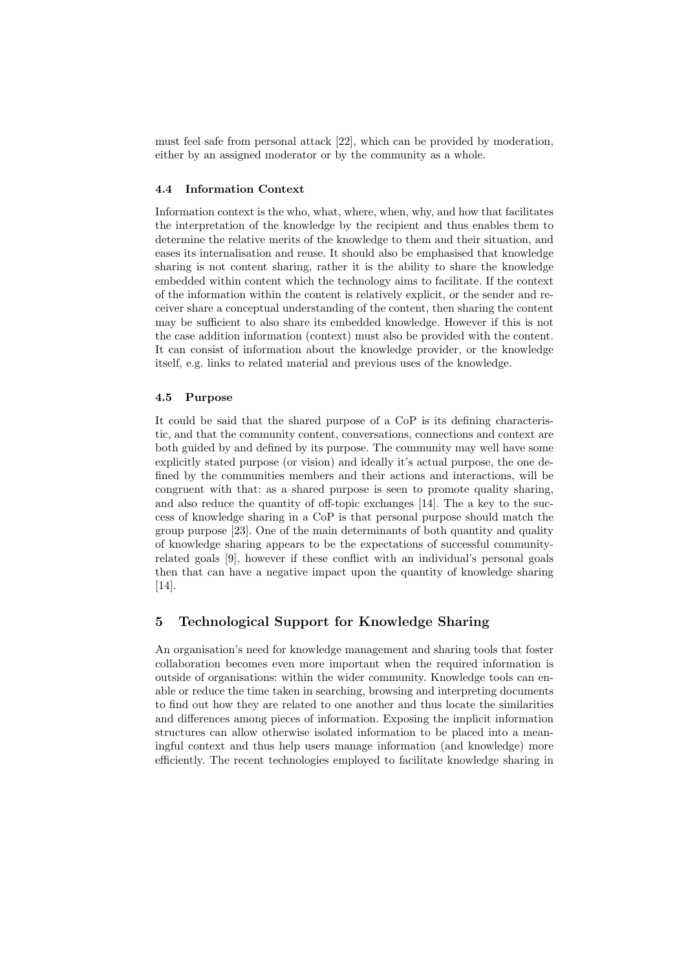must feel safe from personal attack [22], which can be provided by moderation, either by an assigned moderator or by the community as a whole.

#### 4.4 Information Context

Information context is the who, what, where, when, why, and how that facilitates the interpretation of the knowledge by the recipient and thus enables them to determine the relative merits of the knowledge to them and their situation, and eases its internalisation and reuse. It should also be emphasised that knowledge sharing is not content sharing, rather it is the ability to share the knowledge embedded within content which the technology aims to facilitate. If the context of the information within the content is relatively explicit, or the sender and receiver share a conceptual understanding of the content, then sharing the content may be sufficient to also share its embedded knowledge. However if this is not the case addition information (context) must also be provided with the content. It can consist of information about the knowledge provider, or the knowledge itself, e.g. links to related material and previous uses of the knowledge.

#### 4.5 Purpose

It could be said that the shared purpose of a CoP is its defining characteristic, and that the community content, conversations, connections and context are both guided by and defined by its purpose. The community may well have some explicitly stated purpose (or vision) and ideally it's actual purpose, the one defined by the communities members and their actions and interactions, will be congruent with that: as a shared purpose is seen to promote quality sharing, and also reduce the quantity of off-topic exchanges [14]. The a key to the success of knowledge sharing in a CoP is that personal purpose should match the group purpose [23]. One of the main determinants of both quantity and quality of knowledge sharing appears to be the expectations of successful communityrelated goals [9], however if these conflict with an individual's personal goals then that can have a negative impact upon the quantity of knowledge sharing [14].

# 5 Technological Support for Knowledge Sharing

An organisation's need for knowledge management and sharing tools that foster collaboration becomes even more important when the required information is outside of organisations: within the wider community. Knowledge tools can enable or reduce the time taken in searching, browsing and interpreting documents to find out how they are related to one another and thus locate the similarities and differences among pieces of information. Exposing the implicit information structures can allow otherwise isolated information to be placed into a meaningful context and thus help users manage information (and knowledge) more efficiently. The recent technologies employed to facilitate knowledge sharing in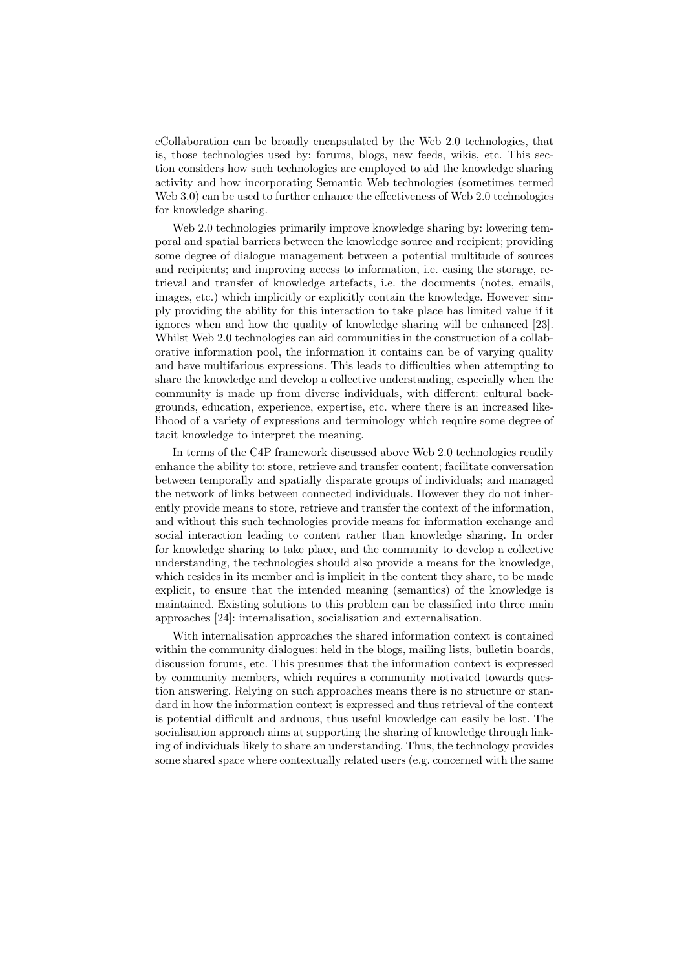eCollaboration can be broadly encapsulated by the Web 2.0 technologies, that is, those technologies used by: forums, blogs, new feeds, wikis, etc. This section considers how such technologies are employed to aid the knowledge sharing activity and how incorporating Semantic Web technologies (sometimes termed Web 3.0) can be used to further enhance the effectiveness of Web 2.0 technologies for knowledge sharing.

Web 2.0 technologies primarily improve knowledge sharing by: lowering temporal and spatial barriers between the knowledge source and recipient; providing some degree of dialogue management between a potential multitude of sources and recipients; and improving access to information, i.e. easing the storage, retrieval and transfer of knowledge artefacts, i.e. the documents (notes, emails, images, etc.) which implicitly or explicitly contain the knowledge. However simply providing the ability for this interaction to take place has limited value if it ignores when and how the quality of knowledge sharing will be enhanced [23]. Whilst Web 2.0 technologies can aid communities in the construction of a collaborative information pool, the information it contains can be of varying quality and have multifarious expressions. This leads to difficulties when attempting to share the knowledge and develop a collective understanding, especially when the community is made up from diverse individuals, with different: cultural backgrounds, education, experience, expertise, etc. where there is an increased likelihood of a variety of expressions and terminology which require some degree of tacit knowledge to interpret the meaning.

In terms of the C4P framework discussed above Web 2.0 technologies readily enhance the ability to: store, retrieve and transfer content; facilitate conversation between temporally and spatially disparate groups of individuals; and managed the network of links between connected individuals. However they do not inherently provide means to store, retrieve and transfer the context of the information, and without this such technologies provide means for information exchange and social interaction leading to content rather than knowledge sharing. In order for knowledge sharing to take place, and the community to develop a collective understanding, the technologies should also provide a means for the knowledge, which resides in its member and is implicit in the content they share, to be made explicit, to ensure that the intended meaning (semantics) of the knowledge is maintained. Existing solutions to this problem can be classified into three main approaches [24]: internalisation, socialisation and externalisation.

With internalisation approaches the shared information context is contained within the community dialogues: held in the blogs, mailing lists, bulletin boards, discussion forums, etc. This presumes that the information context is expressed by community members, which requires a community motivated towards question answering. Relying on such approaches means there is no structure or standard in how the information context is expressed and thus retrieval of the context is potential difficult and arduous, thus useful knowledge can easily be lost. The socialisation approach aims at supporting the sharing of knowledge through linking of individuals likely to share an understanding. Thus, the technology provides some shared space where contextually related users (e.g. concerned with the same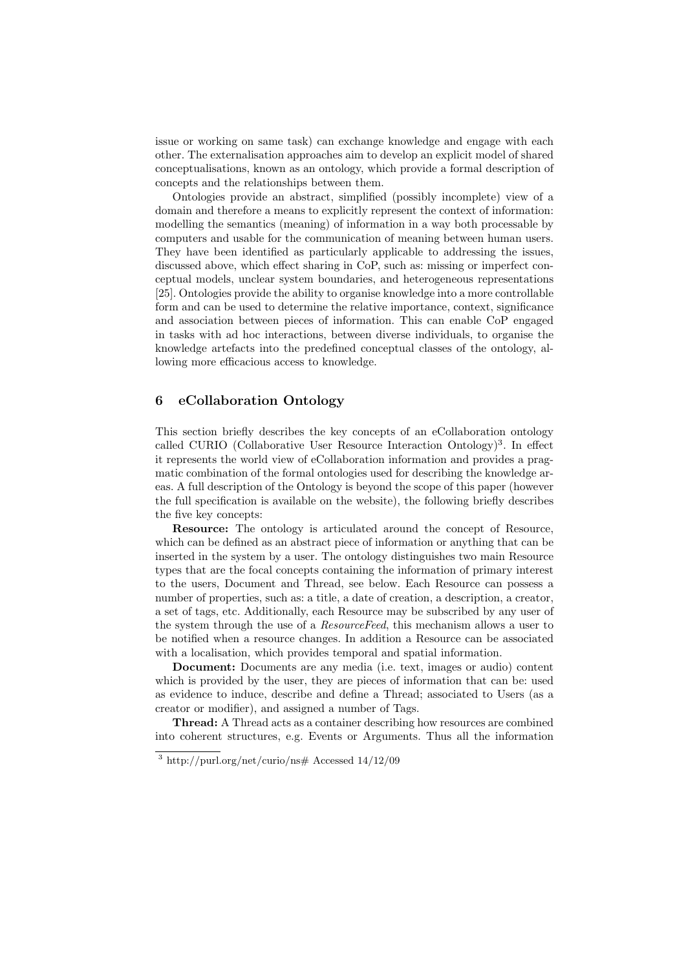issue or working on same task) can exchange knowledge and engage with each other. The externalisation approaches aim to develop an explicit model of shared conceptualisations, known as an ontology, which provide a formal description of concepts and the relationships between them.

Ontologies provide an abstract, simplified (possibly incomplete) view of a domain and therefore a means to explicitly represent the context of information: modelling the semantics (meaning) of information in a way both processable by computers and usable for the communication of meaning between human users. They have been identified as particularly applicable to addressing the issues, discussed above, which effect sharing in CoP, such as: missing or imperfect conceptual models, unclear system boundaries, and heterogeneous representations [25]. Ontologies provide the ability to organise knowledge into a more controllable form and can be used to determine the relative importance, context, significance and association between pieces of information. This can enable CoP engaged in tasks with ad hoc interactions, between diverse individuals, to organise the knowledge artefacts into the predefined conceptual classes of the ontology, allowing more efficacious access to knowledge.

# 6 eCollaboration Ontology

This section briefly describes the key concepts of an eCollaboration ontology called CURIO (Collaborative User Resource Interaction Ontology)<sup>3</sup>. In effect it represents the world view of eCollaboration information and provides a pragmatic combination of the formal ontologies used for describing the knowledge areas. A full description of the Ontology is beyond the scope of this paper (however the full specification is available on the website), the following briefly describes the five key concepts:

Resource: The ontology is articulated around the concept of Resource, which can be defined as an abstract piece of information or anything that can be inserted in the system by a user. The ontology distinguishes two main Resource types that are the focal concepts containing the information of primary interest to the users, Document and Thread, see below. Each Resource can possess a number of properties, such as: a title, a date of creation, a description, a creator, a set of tags, etc. Additionally, each Resource may be subscribed by any user of the system through the use of a *ResourceFeed*, this mechanism allows a user to be notified when a resource changes. In addition a Resource can be associated with a localisation, which provides temporal and spatial information.

Document: Documents are any media (i.e. text, images or audio) content which is provided by the user, they are pieces of information that can be: used as evidence to induce, describe and define a Thread; associated to Users (as a creator or modifier), and assigned a number of Tags.

Thread: A Thread acts as a container describing how resources are combined into coherent structures, e.g. Events or Arguments. Thus all the information

<sup>&</sup>lt;sup>3</sup> http://purl.org/net/curio/ns# Accessed  $14/12/09$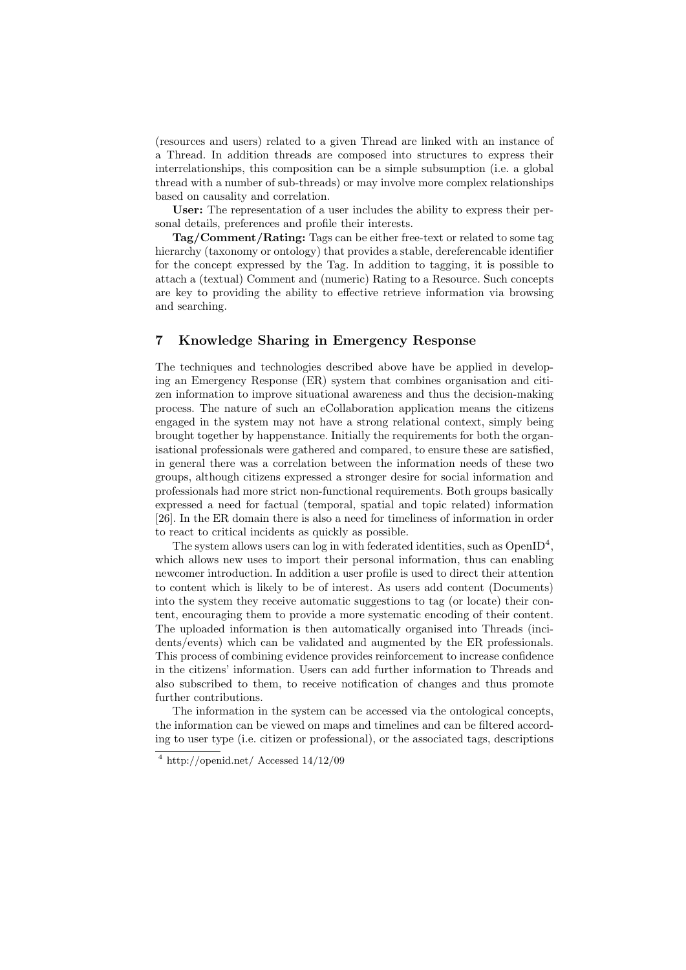(resources and users) related to a given Thread are linked with an instance of a Thread. In addition threads are composed into structures to express their interrelationships, this composition can be a simple subsumption (i.e. a global thread with a number of sub-threads) or may involve more complex relationships based on causality and correlation.

User: The representation of a user includes the ability to express their personal details, preferences and profile their interests.

Tag/Comment/Rating: Tags can be either free-text or related to some tag hierarchy (taxonomy or ontology) that provides a stable, dereferencable identifier for the concept expressed by the Tag. In addition to tagging, it is possible to attach a (textual) Comment and (numeric) Rating to a Resource. Such concepts are key to providing the ability to effective retrieve information via browsing and searching.

# 7 Knowledge Sharing in Emergency Response

The techniques and technologies described above have be applied in developing an Emergency Response (ER) system that combines organisation and citizen information to improve situational awareness and thus the decision-making process. The nature of such an eCollaboration application means the citizens engaged in the system may not have a strong relational context, simply being brought together by happenstance. Initially the requirements for both the organisational professionals were gathered and compared, to ensure these are satisfied, in general there was a correlation between the information needs of these two groups, although citizens expressed a stronger desire for social information and professionals had more strict non-functional requirements. Both groups basically expressed a need for factual (temporal, spatial and topic related) information [26]. In the ER domain there is also a need for timeliness of information in order to react to critical incidents as quickly as possible.

The system allows users can log in with federated identities, such as  $OpenID<sup>4</sup>$ , which allows new uses to import their personal information, thus can enabling newcomer introduction. In addition a user profile is used to direct their attention to content which is likely to be of interest. As users add content (Documents) into the system they receive automatic suggestions to tag (or locate) their content, encouraging them to provide a more systematic encoding of their content. The uploaded information is then automatically organised into Threads (incidents/events) which can be validated and augmented by the ER professionals. This process of combining evidence provides reinforcement to increase confidence in the citizens' information. Users can add further information to Threads and also subscribed to them, to receive notification of changes and thus promote further contributions.

The information in the system can be accessed via the ontological concepts, the information can be viewed on maps and timelines and can be filtered according to user type (i.e. citizen or professional), or the associated tags, descriptions

 $4 \text{ http://openid.net/ Accessed } 14/12/09$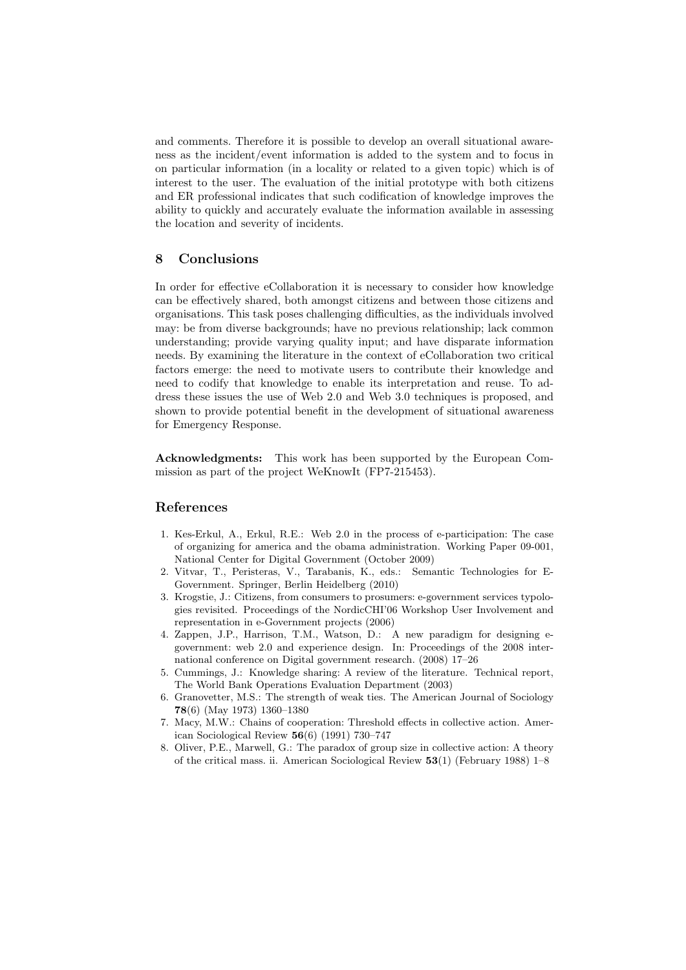and comments. Therefore it is possible to develop an overall situational awareness as the incident/event information is added to the system and to focus in on particular information (in a locality or related to a given topic) which is of interest to the user. The evaluation of the initial prototype with both citizens and ER professional indicates that such codification of knowledge improves the ability to quickly and accurately evaluate the information available in assessing the location and severity of incidents.

# 8 Conclusions

In order for effective eCollaboration it is necessary to consider how knowledge can be effectively shared, both amongst citizens and between those citizens and organisations. This task poses challenging difficulties, as the individuals involved may: be from diverse backgrounds; have no previous relationship; lack common understanding; provide varying quality input; and have disparate information needs. By examining the literature in the context of eCollaboration two critical factors emerge: the need to motivate users to contribute their knowledge and need to codify that knowledge to enable its interpretation and reuse. To address these issues the use of Web 2.0 and Web 3.0 techniques is proposed, and shown to provide potential benefit in the development of situational awareness for Emergency Response.

Acknowledgments: This work has been supported by the European Commission as part of the project WeKnowIt (FP7-215453).

### References

- 1. Kes-Erkul, A., Erkul, R.E.: Web 2.0 in the process of e-participation: The case of organizing for america and the obama administration. Working Paper 09-001, National Center for Digital Government (October 2009)
- 2. Vitvar, T., Peristeras, V., Tarabanis, K., eds.: Semantic Technologies for E-Government. Springer, Berlin Heidelberg (2010)
- 3. Krogstie, J.: Citizens, from consumers to prosumers: e-government services typologies revisited. Proceedings of the NordicCHI'06 Workshop User Involvement and representation in e-Government projects (2006)
- 4. Zappen, J.P., Harrison, T.M., Watson, D.: A new paradigm for designing egovernment: web 2.0 and experience design. In: Proceedings of the 2008 international conference on Digital government research. (2008) 17–26
- 5. Cummings, J.: Knowledge sharing: A review of the literature. Technical report, The World Bank Operations Evaluation Department (2003)
- 6. Granovetter, M.S.: The strength of weak ties. The American Journal of Sociology 78(6) (May 1973) 1360–1380
- 7. Macy, M.W.: Chains of cooperation: Threshold effects in collective action. American Sociological Review 56(6) (1991) 730–747
- 8. Oliver, P.E., Marwell, G.: The paradox of group size in collective action: A theory of the critical mass. ii. American Sociological Review 53(1) (February 1988) 1–8